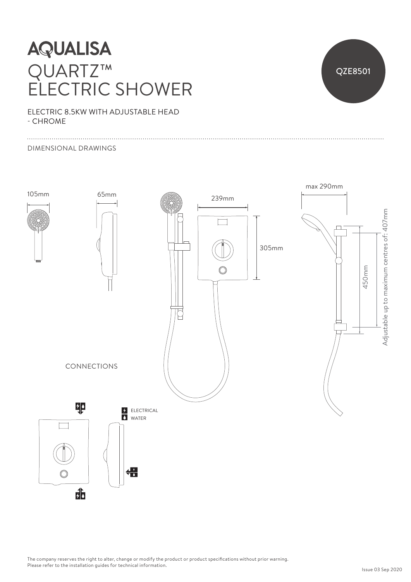## **AQUALISA** QUARTZ™ ELECTRIC SHOWER



ELECTRIC 8.5KW WITH ADJUSTABLE HEAD - CHROME

### DIMENSIONAL DRAWINGS



The company reserves the right to alter, change or modify the product or product specifications without prior warning. Please refer to the installation guides for technical information.